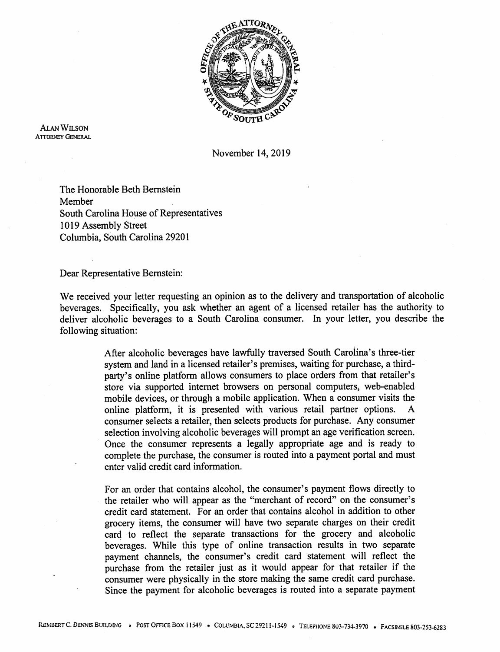

Alan Wilson ATTORNEY General

November 14, 2019

The Honorable Beth Bernstein Member South Carolina House of Representatives 1019 Assembly Street Columbia, South Carolina 29201

Dear Representative Bernstein:

We received your letter requesting an opinion as to the delivery and transportation of alcoholic beverages. Specifically, you ask whether an agent of a licensed retailer has the authority to deliver alcoholic beverages to a South Carolina consumer. In your letter, you describe the following situation:

> After alcoholic beverages have lawfully traversed South Carolina's three-tier system and land in a licensed retailer's premises, waiting for purchase, a thirdparty's online platform allows consumers to place orders from that retailer's store via supported internet browsers on personal computers, web-enabled mobile devices, or through a mobile application. When a consumer visits the online platform, it is presented with various retail partner options. A consumer selects a retailer, then selects products for purchase. Any consumer selection involving alcoholic beverages will prompt an age verification screen. Once the consumer represents a legally appropriate age and is ready to complete the purchase, the consumer is routed into a payment portal and must enter valid credit card information.

> For an order that contains alcohol, the consumer's payment flows directly to the retailer who will appear as the "merchant of record" on the consumer's credit card statement. For an order that contains alcohol in addition to other grocery items, the consumer will have two separate charges on their credit card to reflect the separate transactions for the grocery and alcoholic beverages. While this type of online transaction results in two separate payment channels, the consumer's credit card statement will reflect the purchase from the retailer just as it would appear for that retailer if the consumer were physically in the store making the same credit card purchase. Since the payment for alcoholic beverages is routed into a separate payment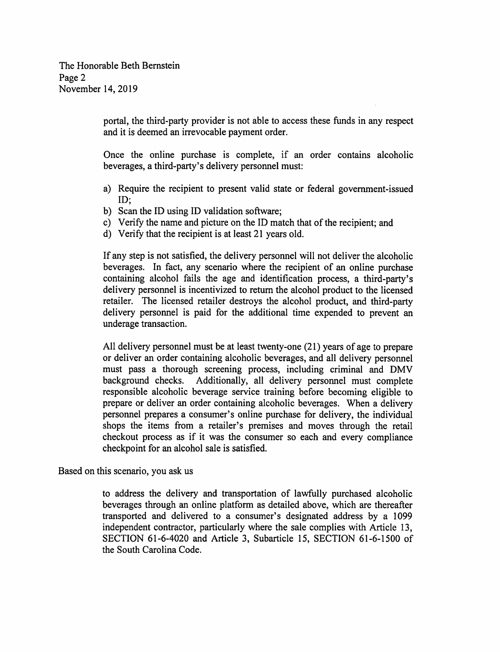The Honorable Beth Bernstein Page 2 November 14, 2019

> portal, the third-party provider is not able to access these funds in any respect and it is deemed an irrevocable payment order.

> Once the online purchase is complete, if an order contains alcoholic beverages, a third-party's delivery personnel must:

- a) Require the recipient to present valid state or federal government-issued ID;
- b) Scan the ID using ID validation software;
- c) Verify the name and picture on the ID match that of the recipient; and
- d) Verify that the recipient is at least 21 years old.

If any step is not satisfied, the delivery personnel will not deliver the alcoholic beverages. In fact, any scenario where the recipient of an online purchase containing alcohol fails the age and identification process, a third-party's delivery personnel is incentivized to return the alcohol product to the licensed retailer. The licensed retailer destroys the alcohol product, and third-party delivery personnel is paid for the additional time expended to prevent an underage transaction.

All delivery personnel must be at least twenty-one (21) years of age to prepare or deliver an order containing alcoholic beverages, and all delivery personnel must pass a thorough screening process, including criminal and DMV background checks. Additionally, all delivery personnel must complete responsible alcoholic beverage service training before becoming eligible to prepare or deliver an order containing alcoholic beverages. When a delivery personnel prepares a consumer's online purchase for delivery, the individual shops the items from a retailer's premises and moves through the retail checkout process as if it was the consumer so each and every compliance checkpoint for an alcohol sale is satisfied.

Based on this scenario, you ask us

to address the delivery and transportation of lawfully purchased alcoholic beverages through an online platform as detailed above, which are thereafter transported and delivered to a consumer's designated address by a 1099 independent contractor, particularly where the sale complies with Article 13, SECTION 61-6-4020 and Article 3, Subarticle 15, SECTION 61-6-1500 of the South Carolina Code.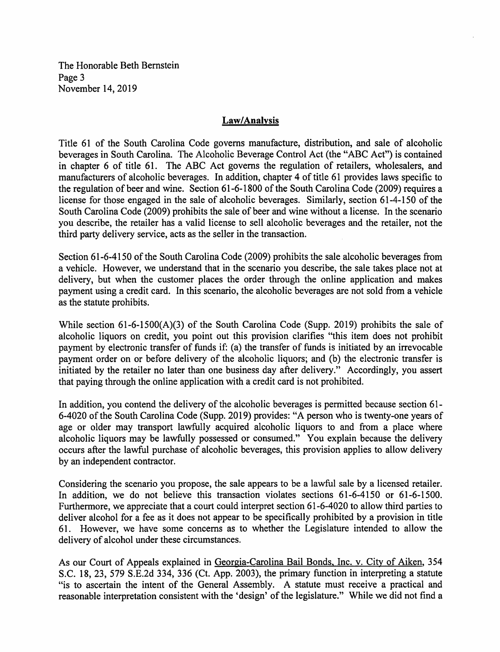The Honorable Beth Bernstein Page 3 November 14, 2019

## Law/Analysis

Title <sup>61</sup> of the South Carolina Code governs manufacture, distribution, and sale of alcoholic beverages in South Carolina. The Alcoholic Beverage Control Act (the "ABC Act") is contained in chapter 6 of title 61. The ABC Act governs the regulation of retailers, wholesalers, and manufacturers of alcoholic beverages. In addition, chapter 4 of title <sup>61</sup> provides laws specific to the regulation of beer and wine. Section 61-6-1800 of the South Carolina Code (2009) requires <sup>a</sup> license for those engaged in the sale of alcoholic beverages. Similarly, section 61-4-150 of the South Carolina Code (2009) prohibits the sale of beer and wine without a license. In the scenario you describe, the retailer has a valid license to sell alcoholic beverages and the retailer, not the third party delivery service, acts as the seller in the transaction.

Section 61-6-4150 of the South Carolina Code (2009) prohibits the sale alcoholic beverages from a vehicle. However, we understand that in the scenario you describe, the sale takes place not at delivery, but when the customer places the order through the online application and makes payment using a credit card. In this scenario, the alcoholic beverages are not sold from a vehicle as the statute prohibits.

While section  $61-6-1500(A)(3)$  of the South Carolina Code (Supp. 2019) prohibits the sale of alcoholic liquors on credit, you point out this provision clarifies "this item does not prohibit payment by electronic transfer of funds if: (a) the transfer of funds is initiated by an irrevocable payment order on or before delivery of the alcoholic liquors; and (b) the electronic transfer is initiated by the retailer no later than one business day after delivery." Accordingly, you assert that paying through the online application with a credit card is not prohibited.

In addition, you contend the delivery of the alcoholic beverages is permitted because section <sup>61</sup> 6-4020 of the South Carolina Code (Supp. 2019) provides: "A person who is twenty-one years of age or older may transport lawfully acquired alcoholic liquors to and from a place where alcoholic liquors may be lawfully possessed or consumed." You explain because the delivery occurs after the lawful purchase of alcoholic beverages, this provision applies to allow delivery by an independent contractor.

Considering the scenario you propose, the sale appears to be a lawful sale by a licensed retailer. In addition, we do not believe this transaction violates sections 61-6-4150 or 61-6-1500. Furthermore, we appreciate that a court could interpret section 61-6-4020 to allow third parties to deliver alcohol for a fee as it does not appear to be specifically prohibited by a provision in title 61. However, we have some concerns as to whether the Legislature intended to allow the delivery of alcohol under these circumstances.

As our Court of Appeals explained in Georgia-Carolina Bail Bonds. Inc. v. City of Aiken. 354 S.C. 18, 23, 579 S.E.2d 334, 336 (Ct. App. 2003), the primary function in interpreting a statute "is to ascertain the intent of the General Assembly, A statute must receive a practical andreasonable interpretation consistent with the 'design' of the legislature." While we did not find a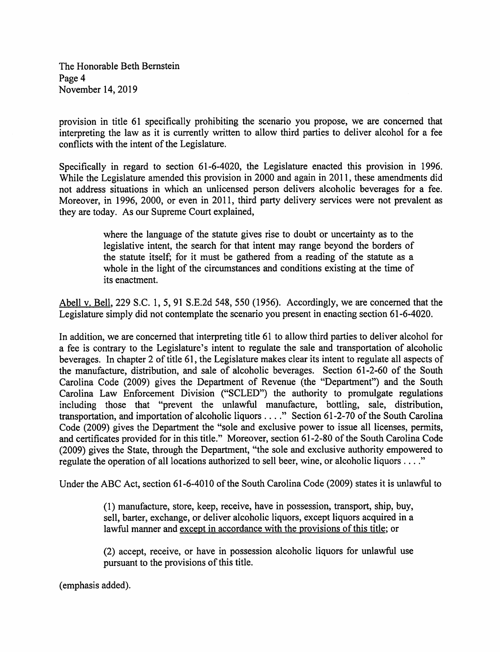The Honorable Beth Bernstein Page 4 November 14, 2019

provision in title 61 specifically prohibiting the scenario you propose, we are concerned that interpreting the law as it is currently written to allow third parties to deliver alcohol for a fee conflicts with the intent of the Legislature.

Specifically in regard to section 61-6-4020, the Legislature enacted this provision in 1996. While the Legislature amended this provision in 2000 and again in 2011, these amendments did not address situations in which an unlicensed person delivers alcoholic beverages for a fee. Moreover, in 1996, 2000, or even in 2011, third party delivery services were not prevalent as they are today. As our Supreme Court explained,

> where the language of the statute gives rise to doubt or uncertainty as to the legislative intent, the search for that intent may range beyond the borders of the statute itself; for it must be gathered from a reading of the statute as a whole in the light of the circumstances and conditions existing at the time of its enactment.

Abell v. Bell. 229 S.C. 1, 5, 91 S.E.2d 548, 550 (1956). Accordingly, we are concerned that the Legislature simply did not contemplate the scenario you present in enacting section 61-6-4020.

In addition, we are concerned that interpreting title 61 to allow third parties to deliver alcohol for a fee is contrary to the Legislature's intent to regulate the sale and transportation of alcoholic beverages. In chapter 2 of title 61, the Legislature makes clear its intent to regulate all aspects of the manufacture, distribution, and sale of alcoholic beverages. Section 61-2-60 of the South Carolina Code (2009) gives the Department of Revenue (the "Department") and the South Carolina Law Enforcement Division ("SCLED") the authority to promulgate regulations including those that "prevent the unlawful manufacture, bottling, sale, distribution, transportation, and importation of alcoholic liquors . . . ." Section 61-2-70 of the South Carolina Code (2009) gives the Department the "sole and exclusive power to issue all licenses, permits, and certificates provided for in this title." Moreover, section 61-2-80 of the South Carolina Code (2009) gives the State, through the Department, "the sole and exclusive authority empowered to regulate the operation of all locations authorized to sell beer, wine, or alcoholic liquors . . . ."

Under the ABC Act, section 61-6-4010 of the South Carolina Code (2009) states it is unlawful to

(1) manufacture, store, keep, receive, have in possession, transport, ship, buy, sell, barter, exchange, or deliver alcoholic liquors, except liquors acquired in a lawful manner and except in accordance with the provisions of this title: or

(2) accept, receive, or have in possession alcoholic liquors for unlawful use pursuant to the provisions of this title.

(emphasis added).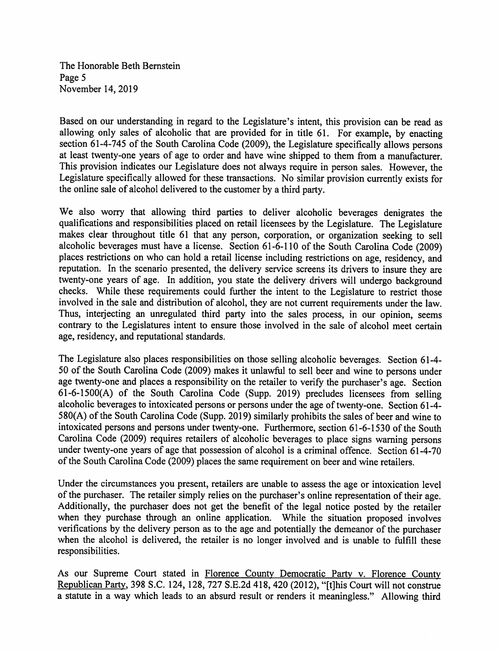The Honorable Beth Bernstein Page 5 November 14, 2019

Based on our understanding in regard to the Legislature's intent, this provision can be read as allowing only sales of alcoholic that are provided for in title 61. For example, by enacting section 61-4-745 of the South Carolina Code (2009), the Legislature specifically allows persons at least twenty-one years of age to order and have wine shipped to them from a manufacturer. This provision indicates our Legislature does not always require in person sales. However, the Legislature specifically allowed for these transactions. No similar provision currently exists for the online sale of alcohol delivered to the customer by <sup>a</sup> third party.

We also worry that allowing third parties to deliver alcoholic beverages denigrates the qualifications and responsibilities placed on retail licensees by the Legislature. The Legislature makes clear throughout title <sup>61</sup> that any person, corporation, or organization seeking to sell alcoholic beverages must have <sup>a</sup> license. Section 61-6-110 of the South Carolina Code (2009) places restrictions on who can hold <sup>a</sup> retail license including restrictions on age, residency, and reputation. In the scenario presented, the delivery service screens its drivers to insure they are twenty-one years of age. In addition, you state the delivery drivers will undergo background checks. While these requirements could further the intent to the Legislature to restrict those involved in the sale and distribution of alcohol, they are not current requirements under the law. Thus, interjecting an unregulated third party into the sales process, in our opinion, seems contrary to the Legislatures intent to ensure those involved in the sale of alcohol meet certain age, residency, and reputational standards.

The Legislature also places responsibilities on those selling alcoholic beverages. Section 61-4 <sup>50</sup> of the South Carolina Code (2009) makes it unlawful to sell beer and wine to persons under age twenty-one and places <sup>a</sup> responsibility on the retailer to verify the purchaser's age. Section <sup>6</sup> 1-6- 1500(A) of the South Carolina Code (Supp. 2019) precludes licensees from selling alcoholic beverages to intoxicated persons or persons under the age of twenty-one. Section 61-4- $580(A)$  of the South Carolina Code (Supp. 2019) similarly prohibits the sales of beer and wine to intoxicated persons and persons under twenty-one. Furthermore, section 61-6-1530 of the South Carolina Code (2009) requires retailers of alcoholic beverages to place signs warning persons under twenty-one years of age that possession of alcohol is <sup>a</sup> criminal offence. Section 61-4-70 of the South Carolina Code (2009) places the same requirement on beer and wine retailers.

Under the circumstances you present, retailers are unable to assess the age or intoxication level of the purchaser. The retailer simply relies on the purchaser's online representation of their age. Additionally, the purchaser does not get the benefit of the legal notice posted by the retailer when they purchase through an online application. While the situation proposed involves verifications by the delivery person as to the age and potentially the demeanor of the purchaser when the alcohol is delivered, the retailer is no longer involved and is unable to fulfill these responsibilities.

As our Supreme Court stated in Florence County Democratic Party v. Florence County Republican Party. 398 S.C. 124, 128, <sup>727</sup> S.E.2d 418, 420 (2012), "[t]his Court will not construe <sup>a</sup> statute in <sup>a</sup> way which leads to an absurd result or renders it meaningless." Allowing third